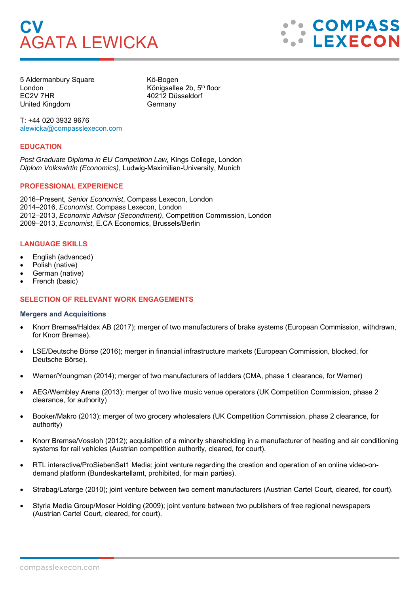# **CV**  AGATA LEWICKA



5 Aldermanbury Square Kö-Bogen London Königsallee 2b, 5<sup>th</sup> floor EC2V 7HR 40212 Düsseldorf United Kingdom Germany

T: +44 020 3932 9676 alewicka@compasslexecon.com

## **EDUCATION**

*Post Graduate Diploma in EU Competition Law,* Kings College, London *Diplom Volkswirtin (Economics)*, Ludwig-Maximilian-University, Munich

## **PROFESSIONAL EXPERIENCE**

2016–Present, *Senior Economist*, Compass Lexecon, London 2014–2016, *Economist*, Compass Lexecon, London 2012–2013, *Economic Advisor (Secondment)*, Competition Commission, London 2009–2013, *Economist*, E.CA Economics, Brussels/Berlin

## **LANGUAGE SKILLS**

- English (advanced)
- Polish (native)
- German (native)
- French (basic)

# **SELECTION OF RELEVANT WORK ENGAGEMENTS**

#### **Mergers and Acquisitions**

- Knorr Bremse/Haldex AB (2017); merger of two manufacturers of brake systems (European Commission, withdrawn, for Knorr Bremse).
- LSE/Deutsche Börse (2016); merger in financial infrastructure markets (European Commission, blocked, for Deutsche Börse).
- Werner/Youngman (2014); merger of two manufacturers of ladders (CMA, phase 1 clearance, for Werner)
- AEG/Wembley Arena (2013); merger of two live music venue operators (UK Competition Commission, phase 2 clearance, for authority)
- Booker/Makro (2013); merger of two grocery wholesalers (UK Competition Commission, phase 2 clearance, for authority)
- Knorr Bremse/Vossloh (2012); acquisition of a minority shareholding in a manufacturer of heating and air conditioning systems for rail vehicles (Austrian competition authority, cleared, for court).
- RTL interactive/ProSiebenSat1 Media; joint venture regarding the creation and operation of an online video-ondemand platform (Bundeskartellamt, prohibited, for main parties).
- Strabag/Lafarge (2010); joint venture between two cement manufacturers (Austrian Cartel Court, cleared, for court).
- Styria Media Group/Moser Holding (2009); joint venture between two publishers of free regional newspapers (Austrian Cartel Court, cleared, for court).